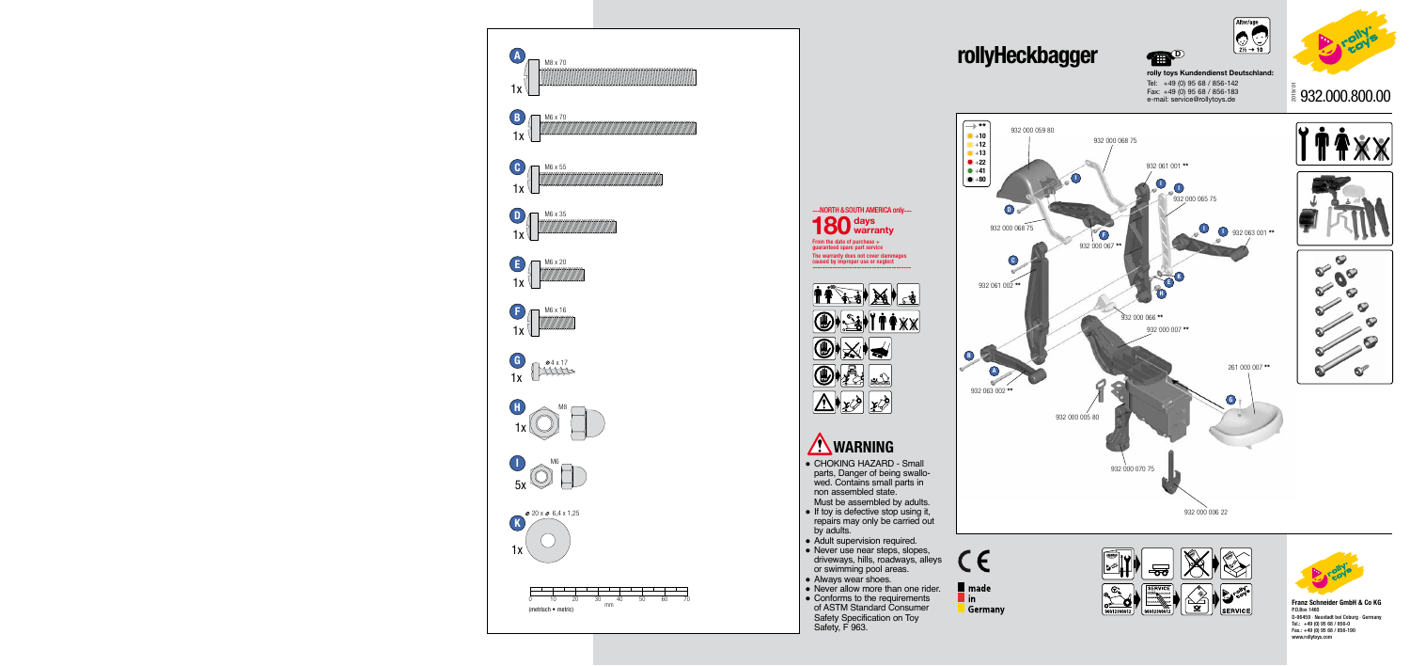

## **rollyHeckbagger**



**rolly toys Kundendienst Deutschland:** Tel: +49 (0) 95 68 / 856-142 Fax: +49 (0) 95 68 / 856-183 e-mail: service@rollytoys.de **PED** 

> **Franz Schneider GmbH & Co KG** P.O.Box 1460 D-96459 · Neustadt bei Coburg · Germany Tel.: +49 (0) 95 68 / 856-0 Fax.: +49 (0) 95 68 / 856-190 www.rollytoys.com

- CHOKING HAZARD Small parts, Danger of being swallowed. Contains small parts in non assembled state. Must be assembled by adults.
- If toy is defective stop using it, repairs may only be carried out by adults.
- Adult supervision required.
- Never use near steps, slopes, driveways, hills, roadways, alleys or swimming pool areas.
- Always wear shoes.
- Never allow more than one rider. • Conforms to the requirements
- of ASTM Standard Consumer Safety Specification on Toy Safety, F 963.













From the date of purchase + guaranteed spare part service The warranty does not cover dammages caused by improper use or neglect --------------------------------------- **days 180 warranty** ---NORTH & SOUTH AMERICA only---